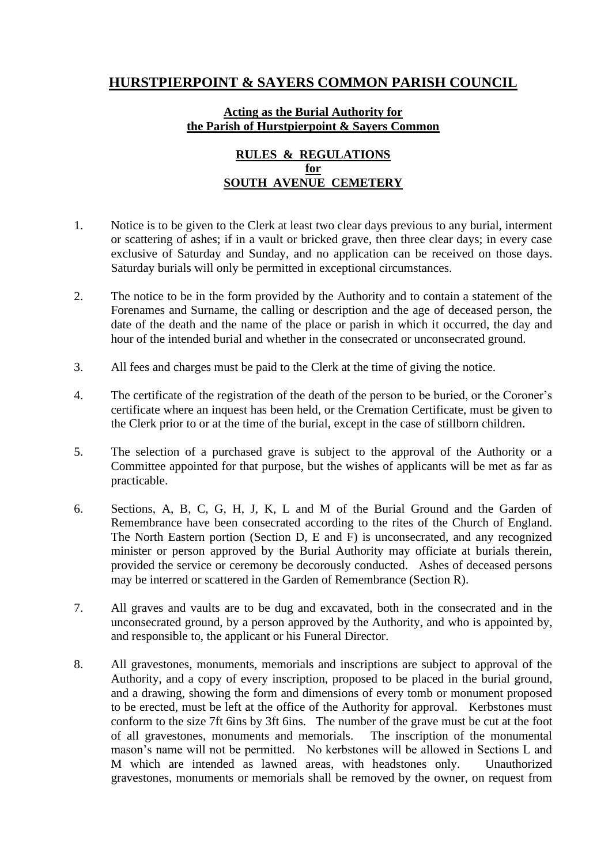## **HURSTPIERPOINT & SAYERS COMMON PARISH COUNCIL**

## **Acting as the Burial Authority for the Parish of Hurstpierpoint & Sayers Common**

## **RULES & REGULATIONS for SOUTH AVENUE CEMETERY**

- 1. Notice is to be given to the Clerk at least two clear days previous to any burial, interment or scattering of ashes; if in a vault or bricked grave, then three clear days; in every case exclusive of Saturday and Sunday, and no application can be received on those days. Saturday burials will only be permitted in exceptional circumstances.
- 2. The notice to be in the form provided by the Authority and to contain a statement of the Forenames and Surname, the calling or description and the age of deceased person, the date of the death and the name of the place or parish in which it occurred, the day and hour of the intended burial and whether in the consecrated or unconsecrated ground.
- 3. All fees and charges must be paid to the Clerk at the time of giving the notice.
- 4. The certificate of the registration of the death of the person to be buried, or the Coroner's certificate where an inquest has been held, or the Cremation Certificate, must be given to the Clerk prior to or at the time of the burial, except in the case of stillborn children.
- 5. The selection of a purchased grave is subject to the approval of the Authority or a Committee appointed for that purpose, but the wishes of applicants will be met as far as practicable.
- 6. Sections, A, B, C, G, H, J, K, L and M of the Burial Ground and the Garden of Remembrance have been consecrated according to the rites of the Church of England. The North Eastern portion (Section D, E and F) is unconsecrated, and any recognized minister or person approved by the Burial Authority may officiate at burials therein, provided the service or ceremony be decorously conducted. Ashes of deceased persons may be interred or scattered in the Garden of Remembrance (Section R).
- 7. All graves and vaults are to be dug and excavated, both in the consecrated and in the unconsecrated ground, by a person approved by the Authority, and who is appointed by, and responsible to, the applicant or his Funeral Director.
- 8. All gravestones, monuments, memorials and inscriptions are subject to approval of the Authority, and a copy of every inscription, proposed to be placed in the burial ground, and a drawing, showing the form and dimensions of every tomb or monument proposed to be erected, must be left at the office of the Authority for approval. Kerbstones must conform to the size 7ft 6ins by 3ft 6ins. The number of the grave must be cut at the foot of all gravestones, monuments and memorials. The inscription of the monumental mason's name will not be permitted. No kerbstones will be allowed in Sections L and M which are intended as lawned areas, with headstones only. Unauthorized gravestones, monuments or memorials shall be removed by the owner, on request from